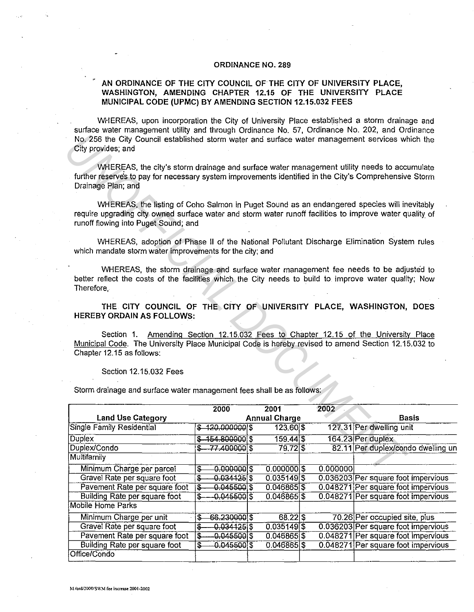## **ORDINANCE NO. 289**

## **AN ORDINANCE OF THE CITY COUNCIL OF THE CITY OF UNIVERSITY PLACE, WASHINGTON, AMENDING CHAPTER 12.15 OF THE UNIVERSITY PLACE MUNICIPAL CODE (UPMC) BY AMENDING SECTION 12.15.032 FEES**

WHEREAS, upon incorporation the City of University Place established a storm drainage and surface water management utility and through Ordinance No. 57, Ordinance No. 202, and Ordinance No. 256 the City Council established storm water and surface water management services which the City provides; and

| No. 256 the City Council established storm water and surface water management services which the<br>City provides; and                                                                                                                          |                                            |                      |          |                                                                          |
|-------------------------------------------------------------------------------------------------------------------------------------------------------------------------------------------------------------------------------------------------|--------------------------------------------|----------------------|----------|--------------------------------------------------------------------------|
| WHEREAS, the city's storm drainage and surface water management utility needs to accumulate<br>further reserves to pay for necessary system improvements identified in the City's Comprehensive Storm<br>Drainage Plan; and                     |                                            |                      |          |                                                                          |
| WHEREAS, the listing of Coho Salmon in Puget Sound as an endangered species will inevitably<br>require upgrading city owned surface water and storm water runoff facilities to improve water quality of<br>runoff flowing into Puget Sound; and |                                            |                      |          |                                                                          |
| WHEREAS, adoption of Phase II of the National Pollutant Discharge Elimination System rules<br>which mandate storm water improvements for the city; and                                                                                          |                                            |                      |          |                                                                          |
| WHEREAS, the storm drainage and surface water management fee needs to be adjusted to<br>better reflect the costs of the facilities which the City needs to build to improve water quality; Now<br>Therefore,                                    |                                            |                      |          |                                                                          |
| THE CITY COUNCIL OF THE CITY OF UNIVERSITY PLACE, WASHINGTON, DOES<br><b>HEREBY ORDAIN AS FOLLOWS:</b>                                                                                                                                          |                                            |                      |          |                                                                          |
| Section 1.<br>Municipal Code. The University Place Municipal Code is hereby revised to amend Section 12.15.032 to<br>Chapter 12.15 as follows:                                                                                                  |                                            |                      |          | Amending Section 12.15.032 Fees to Chapter 12.15 of the University Place |
| Section 12.15.032 Fees<br>Storm drainage and surface water management fees shall be as follows:                                                                                                                                                 |                                            |                      |          |                                                                          |
|                                                                                                                                                                                                                                                 | 2000                                       | 2001                 | 2002     |                                                                          |
| <b>Land Use Category</b>                                                                                                                                                                                                                        |                                            | <b>Annual Charge</b> |          | <b>Basis</b>                                                             |
| <b>Single Family Residential</b>                                                                                                                                                                                                                | \$120.000000                               | $123.60 $ \$         |          | 127.31 Per dwelling unit                                                 |
| Duplex                                                                                                                                                                                                                                          | $$-154.800000$ \$                          | $159.44$ $$$         |          | 164.23 Per duplex                                                        |
| Duplex/Condo                                                                                                                                                                                                                                    | 77.400000 \$                               | $79.72$ \$           |          | 82.11 Per duplex/condo dwelling un                                       |
| Multifamily                                                                                                                                                                                                                                     |                                            |                      |          |                                                                          |
| Minimum Charge per parcel                                                                                                                                                                                                                       | 0.0000005<br>\$                            | $0.000000$ \$        | 0.000000 |                                                                          |
| Gravel Rate per square foot                                                                                                                                                                                                                     | $0.034125$ \$<br>$\overline{\mathfrak{s}}$ | 0.0351495            |          | 0.036203 Per square foot impervious                                      |
| Pavement Rate per square foot                                                                                                                                                                                                                   | 0.0455003<br>\$                            | 0.046865             |          | 0.048271 Per square foot impervious                                      |
| Building Rate per square foot                                                                                                                                                                                                                   | $-0.0455005$<br>\$                         | $0.046865$ \$        |          | 0.048271 Per square foot impervious                                      |
| <b>Mobile Home Parks</b>                                                                                                                                                                                                                        |                                            |                      |          |                                                                          |
| Minimum Charge per unit                                                                                                                                                                                                                         | 66.230000 \$<br>\$                         | $68.22$ $S$          |          | 70.26 Per occupied site, plus                                            |
| Gravel Rate per square foot                                                                                                                                                                                                                     | 0.0341255<br>\$                            | 0.0351495            |          | 0.036203 Per square foot impervious                                      |
| Pavement Rate per square foot                                                                                                                                                                                                                   | $-0.0455005$<br>\$                         | 0.046865             |          | 0.048271 Per square foot impervious                                      |
| Building Rate per square foot                                                                                                                                                                                                                   | 0.0455003<br>\$                            | 0.046865             |          | 0.048271 Per square foot impervious                                      |
| Office/Condo                                                                                                                                                                                                                                    |                                            |                      |          |                                                                          |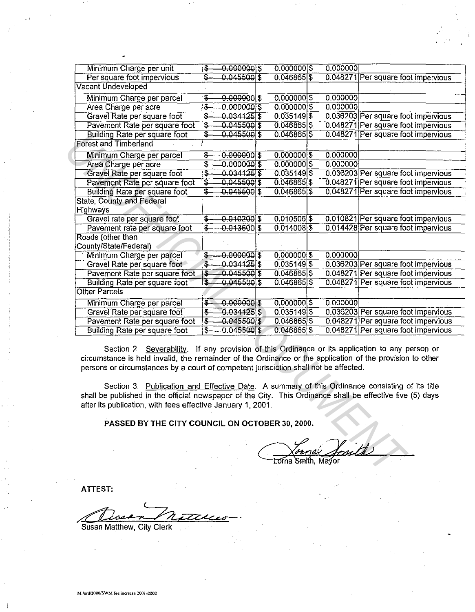| Minimum Charge per unit                                                                                                                                                                                                                                                                                                                                                                                                                                                                                                                                                            | $-0.0000005$<br>$\overline{\mathbf{e}}$    | $0.0000001$ \$ | 0.000000 |                                     |  |  |  |
|------------------------------------------------------------------------------------------------------------------------------------------------------------------------------------------------------------------------------------------------------------------------------------------------------------------------------------------------------------------------------------------------------------------------------------------------------------------------------------------------------------------------------------------------------------------------------------|--------------------------------------------|----------------|----------|-------------------------------------|--|--|--|
| Per square foot impervious                                                                                                                                                                                                                                                                                                                                                                                                                                                                                                                                                         | \$.<br>$0.045500$ \$                       | $0.046865$ \$  |          | 0.048271 Per square foot impervious |  |  |  |
| Vacant Undeveloped                                                                                                                                                                                                                                                                                                                                                                                                                                                                                                                                                                 |                                            |                |          |                                     |  |  |  |
| Minimum Charge per parcel                                                                                                                                                                                                                                                                                                                                                                                                                                                                                                                                                          | \$<br>$0.0000001$ \$                       | $0.0000001$ \$ | 0.000000 |                                     |  |  |  |
| Area Charge per acre                                                                                                                                                                                                                                                                                                                                                                                                                                                                                                                                                               | इ<br>0.0000005                             | $0.000000$ \$  | 0.000000 |                                     |  |  |  |
| Gravel Rate per square foot                                                                                                                                                                                                                                                                                                                                                                                                                                                                                                                                                        | Ş.<br>0.0341255                            | $0.035149$ \$  |          | 0.036203 Per square foot impervious |  |  |  |
| Pavement Rate per square foot                                                                                                                                                                                                                                                                                                                                                                                                                                                                                                                                                      | \$.<br>0.0455003                           | 0.046865       |          | 0.048271 Per square foot impervious |  |  |  |
| <b>Building Rate per square foot</b>                                                                                                                                                                                                                                                                                                                                                                                                                                                                                                                                               | $\overline{\mathfrak{s}}$<br>$0.045500$ \$ | 0.046865       |          | 0.048271 Per square foot impervious |  |  |  |
| <b>Forest and Timberland</b>                                                                                                                                                                                                                                                                                                                                                                                                                                                                                                                                                       |                                            |                |          |                                     |  |  |  |
| Minimum Charge per parcel                                                                                                                                                                                                                                                                                                                                                                                                                                                                                                                                                          | इ<br>0.0000005                             | $0.000000$ \$  | 0.000000 |                                     |  |  |  |
| Area Charge per acre                                                                                                                                                                                                                                                                                                                                                                                                                                                                                                                                                               | इ<br>$-0.0000001$ \$                       | $0.000000$ \$  | 0.000000 |                                     |  |  |  |
| Gravel Rate per square foot                                                                                                                                                                                                                                                                                                                                                                                                                                                                                                                                                        | \$<br>$-0.034125$ \$                       | 0.0351495      |          | 0.036203 Per square foot impervious |  |  |  |
| Pavement Rate per square foot                                                                                                                                                                                                                                                                                                                                                                                                                                                                                                                                                      | $\overline{\$}$<br>$-0.045500$ \$          | $0.046865$ \$  |          | 0.048271 Per square foot impervious |  |  |  |
| <b>Building Rate per square foot</b>                                                                                                                                                                                                                                                                                                                                                                                                                                                                                                                                               | \$<br>$-0.0455005$                         | 0.0468655      |          | 0.048271 Per square foot impervious |  |  |  |
| <b>State, County and Federal</b>                                                                                                                                                                                                                                                                                                                                                                                                                                                                                                                                                   |                                            |                |          |                                     |  |  |  |
| <b>Highways</b>                                                                                                                                                                                                                                                                                                                                                                                                                                                                                                                                                                    |                                            |                |          |                                     |  |  |  |
| Gravel rate per square foot                                                                                                                                                                                                                                                                                                                                                                                                                                                                                                                                                        | \$<br>$-0.0102005$                         | 0.0105065      |          | 0.010821 Per square foot impervious |  |  |  |
| Pavement rate per square foot                                                                                                                                                                                                                                                                                                                                                                                                                                                                                                                                                      | $\overline{\$}$<br>$-0.0136005$            | 0.014008       |          | 0.014428 Per square foot impervious |  |  |  |
| Roads (other than                                                                                                                                                                                                                                                                                                                                                                                                                                                                                                                                                                  |                                            |                |          |                                     |  |  |  |
| County/State/Federal)                                                                                                                                                                                                                                                                                                                                                                                                                                                                                                                                                              |                                            |                |          |                                     |  |  |  |
| Minimum Charge per parcel                                                                                                                                                                                                                                                                                                                                                                                                                                                                                                                                                          | ₽<br>$-0.0000005$                          | $0.0000001$ \$ | 0.000000 |                                     |  |  |  |
| Gravel Rate per square foot                                                                                                                                                                                                                                                                                                                                                                                                                                                                                                                                                        | 0.0341255<br>\$                            | $0.035149$ \$  |          | 0.036203 Per square foot impervious |  |  |  |
| Pavement Rate per square foot                                                                                                                                                                                                                                                                                                                                                                                                                                                                                                                                                      | $0.045500$ \$<br>\$                        | $0.046865$ \$  |          | 0.048271 Per square foot impervious |  |  |  |
| <b>Building Rate per square foot</b>                                                                                                                                                                                                                                                                                                                                                                                                                                                                                                                                               | $\overline{\mathbb{S}}$<br>$0.045500$ \$   | 0.046865       |          | 0.048271 Per square foot impervious |  |  |  |
| <b>Other Parcels</b>                                                                                                                                                                                                                                                                                                                                                                                                                                                                                                                                                               |                                            |                |          |                                     |  |  |  |
| Minimum Charge per parcel                                                                                                                                                                                                                                                                                                                                                                                                                                                                                                                                                          | 0.0000005<br>\$                            | 0.0000005      | 0.000000 |                                     |  |  |  |
| Gravel Rate per square foot                                                                                                                                                                                                                                                                                                                                                                                                                                                                                                                                                        | 0.0341255<br>$\overline{\mathbf{z}}$       | $0.035149$ \$  |          | 0.036203 Per square foot impervious |  |  |  |
| Pavement Rate per square foot                                                                                                                                                                                                                                                                                                                                                                                                                                                                                                                                                      | $-0.045500$ \$<br>∲                        | $0.046865$ \$  |          | 0.048271 Per square foot impervious |  |  |  |
| <b>Building Rate per square foot</b>                                                                                                                                                                                                                                                                                                                                                                                                                                                                                                                                               | Ŝ.<br>$0.045500$ \$                        | 0.046865 \$    |          | 0.048271 Per square foot impervious |  |  |  |
| Section 2. Severability. If any provision of this Ordinance or its application to any person or<br>circumstance is held invalid, the remainder of the Ordinance or the application of the provision to other<br>persons or circumstances by a court of competent jurisdiction shall not be affected.<br>Section 3. Publication and Effective Date. A summary of this Ordinance consisting of its title<br>shall be published in the official newspaper of the City. This Ordinance shall be effective five (5) days<br>after its publication, with fees effective January 1, 2001. |                                            |                |          |                                     |  |  |  |
| PASSED BY THE CITY COUNCIL ON OCTOBER 30, 2000.                                                                                                                                                                                                                                                                                                                                                                                                                                                                                                                                    |                                            |                |          |                                     |  |  |  |
|                                                                                                                                                                                                                                                                                                                                                                                                                                                                                                                                                                                    |                                            |                |          |                                     |  |  |  |

Section 3. Publication and Effective Date. A summary of this Ordinance consisting of its title shall be published in the official newspaper of the City. This Ordinance shall be effective five (5) days after its publication, with fees effective January 1, 2001. shall be published in the official newspaper of the City. This Ordinance shall be effective five<br>after its publication, with fees effective January 1, 2001.<br>PASSED BY THE CITY COUNCIL ON OCTOBER 30, 2000.<br>PASSED BY THE CIT

**ATTEST:** 

Susan Matthew, City Clerk